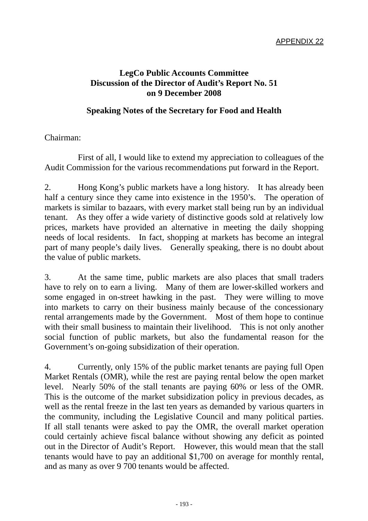## **LegCo Public Accounts Committee Discussion of the Director of Audit's Report No. 51 on 9 December 2008**

## **Speaking Notes of the Secretary for Food and Health**

## Chairman:

 First of all, I would like to extend my appreciation to colleagues of the Audit Commission for the various recommendations put forward in the Report.

2. Hong Kong's public markets have a long history. It has already been half a century since they came into existence in the 1950's. The operation of markets is similar to bazaars, with every market stall being run by an individual tenant. As they offer a wide variety of distinctive goods sold at relatively low prices, markets have provided an alternative in meeting the daily shopping needs of local residents. In fact, shopping at markets has become an integral part of many people's daily lives. Generally speaking, there is no doubt about the value of public markets.

3. At the same time, public markets are also places that small traders have to rely on to earn a living. Many of them are lower-skilled workers and some engaged in on-street hawking in the past. They were willing to move into markets to carry on their business mainly because of the concessionary rental arrangements made by the Government. Most of them hope to continue with their small business to maintain their livelihood. This is not only another social function of public markets, but also the fundamental reason for the Government's on-going subsidization of their operation.

4. Currently, only 15% of the public market tenants are paying full Open Market Rentals (OMR), while the rest are paying rental below the open market level. Nearly 50% of the stall tenants are paying 60% or less of the OMR. This is the outcome of the market subsidization policy in previous decades, as well as the rental freeze in the last ten years as demanded by various quarters in the community, including the Legislative Council and many political parties. If all stall tenants were asked to pay the OMR, the overall market operation could certainly achieve fiscal balance without showing any deficit as pointed out in the Director of Audit's Report. However, this would mean that the stall tenants would have to pay an additional \$1,700 on average for monthly rental, and as many as over 9 700 tenants would be affected.